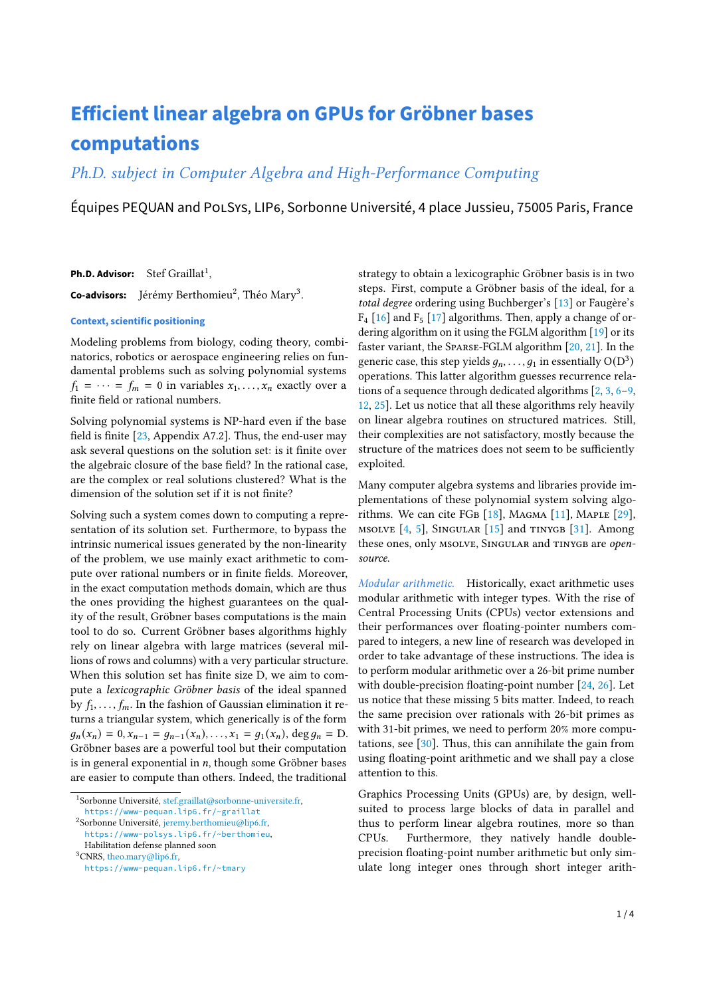# **Efficient linear algebra on GPUs for Gröbner bases computations**

Ph.D. subject in Computer Algebra and High-Performance Computing

Équipes PEQUAN and POLSYS, LIP6, Sorbonne Université, 4 place Jussieu, 75005 Paris, France

Ph.D. Advisor: Stef Graillat<sup>[1](#page-0-0)</sup>,

**Co-advisors:** Jérémy Berthomieu<sup>[2](#page-0-1)</sup>, Théo Mary<sup>[3](#page-0-2)</sup>,

### **Context, scientific positioning**

Modeling problems from biology, coding theory, combinatorics, robotics or aerospace engineering relies on fundamental problems such as solving polynomial systems  $f_1 = \cdots = f_m = 0$  in variables  $x_1, \ldots, x_n$  exactly over a finite field or rational numbers.

Solving polynomial systems is NP-hard even if the base field is finite [\[23,](#page-3-0) Appendix A7.2]. Thus, the end-user may ask several questions on the solution set: is it finite over the algebraic closure of the base field? In the rational case, are the complex or real solutions clustered? What is the dimension of the solution set if it is not finite?

Solving such a system comes down to computing a representation of its solution set. Furthermore, to bypass the intrinsic numerical issues generated by the non-linearity of the problem, we use mainly exact arithmetic to compute over rational numbers or in finite fields. Moreover, in the exact computation methods domain, which are thus the ones providing the highest guarantees on the quality of the result, Gröbner bases computations is the main tool to do so. Current Gröbner bases algorithms highly rely on linear algebra with large matrices (several millions of rows and columns) with a very particular structure. When this solution set has finite size D, we aim to compute a lexicographic Gröbner basis of the ideal spanned by  $f_1, \ldots, f_m$ . In the fashion of Gaussian elimination it returns a triangular system, which generically is of the form  $q_n(x_n) = 0, x_{n-1} = q_{n-1}(x_n), \ldots, x_1 = q_1(x_n), \deg q_n = D.$ Gröbner bases are a powerful tool but their computation is in general exponential in  $n$ , though some Gröbner bases are easier to compute than others. Indeed, the traditional

<span id="page-0-0"></span><sup>1</sup>Sorbonne Université, [stef.graillat@sorbonne-universite.fr,](mailto:stef.graillat@sorbonne-universite.fr)

<span id="page-0-2"></span><sup>3</sup>CNRS, [theo.mary@lip6.fr,](mailto:theo.mary@lip6.fr) <https://www-pequan.lip6.fr/~tmary> strategy to obtain a lexicographic Gröbner basis is in two steps. First, compute a Gröbner basis of the ideal, for a total degree ordering using Buchberger's [\[13\]](#page-2-0) or Faugère's  $F_4$  [\[16\]](#page-2-1) and  $F_5$  [\[17\]](#page-2-2) algorithms. Then, apply a change of ordering algorithm on it using the FGLM algorithm [\[19\]](#page-3-1) or its faster variant, the Sparse-FGLM algorithm [\[20,](#page-3-2) [21\]](#page-3-3). In the generic case, this step yields  $q_n, \ldots, q_1$  in essentially  $O(D^3)$ operations. This latter algorithm guesses recurrence relations of a sequence through dedicated algorithms [\[2,](#page-2-3) [3,](#page-2-4) [6–](#page-2-5)[9,](#page-2-6) [12,](#page-2-7) [25\]](#page-3-4). Let us notice that all these algorithms rely heavily on linear algebra routines on structured matrices. Still, their complexities are not satisfactory, mostly because the structure of the matrices does not seem to be sufficiently exploited.

Many computer algebra systems and libraries provide implementations of these polynomial system solving algorithms. We can cite FGB  $[18]$ , Magma  $[11]$ , Maple  $[29]$ , MSOLVE  $[4, 5]$  $[4, 5]$  $[4, 5]$ , SINGULAR  $[15]$  and TINYGB  $[31]$ . Among these ones, only MSOLVE, SINGULAR and TINYGB are opensource.

Modular arithmetic. Historically, exact arithmetic uses modular arithmetic with integer types. With the rise of Central Processing Units (CPUs) vector extensions and their performances over floating-pointer numbers compared to integers, a new line of research was developed in order to take advantage of these instructions. The idea is to perform modular arithmetic over a 26-bit prime number with double-precision floating-point number [\[24,](#page-3-7) [26\]](#page-3-8). Let us notice that these missing 5 bits matter. Indeed, to reach the same precision over rationals with 26-bit primes as with 31-bit primes, we need to perform 20% more computations, see [\[30\]](#page-3-9). Thus, this can annihilate the gain from using floating-point arithmetic and we shall pay a close attention to this.

Graphics Processing Units (GPUs) are, by design, wellsuited to process large blocks of data in parallel and thus to perform linear algebra routines, more so than CPUs. Furthermore, they natively handle doubleprecision floating-point number arithmetic but only simulate long integer ones through short integer arith-

<https://www-pequan.lip6.fr/~graillat>

<span id="page-0-1"></span><sup>2</sup>Sorbonne Université, [jeremy.berthomieu@lip6.fr,](mailto:jeremy.berthomieu@lip6.fr)

<https://www-polsys.lip6.fr/~berthomieu>, Habilitation defense planned soon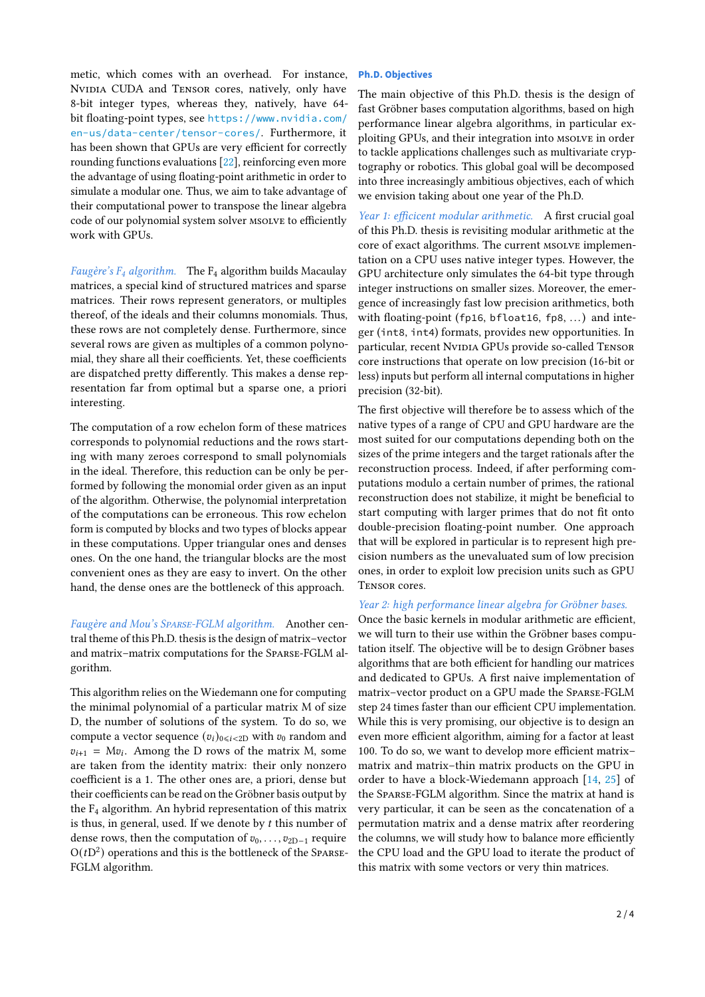metic, which comes with an overhead. For instance, NVIDIA CUDA and TENSOR cores, natively, only have 8-bit integer types, whereas they, natively, have 64 bit floating-point types, see [https://www.nvidia.com/](https://www.nvidia.com/en-us/data-center/tensor-cores/) [en-us/data-center/tensor-cores/](https://www.nvidia.com/en-us/data-center/tensor-cores/). Furthermore, it has been shown that GPUs are very efficient for correctly rounding functions evaluations [\[22\]](#page-3-10), reinforcing even more the advantage of using floating-point arithmetic in order to simulate a modular one. Thus, we aim to take advantage of their computational power to transpose the linear algebra code of our polynomial system solver msolve to efficiently work with GPUs.

Faugère's  $F_4$  algorithm. The  $F_4$  algorithm builds Macaulay matrices, a special kind of structured matrices and sparse matrices. Their rows represent generators, or multiples thereof, of the ideals and their columns monomials. Thus, these rows are not completely dense. Furthermore, since several rows are given as multiples of a common polynomial, they share all their coefficients. Yet, these coefficients are dispatched pretty differently. This makes a dense representation far from optimal but a sparse one, a priori interesting.

The computation of a row echelon form of these matrices corresponds to polynomial reductions and the rows starting with many zeroes correspond to small polynomials in the ideal. Therefore, this reduction can be only be performed by following the monomial order given as an input of the algorithm. Otherwise, the polynomial interpretation of the computations can be erroneous. This row echelon form is computed by blocks and two types of blocks appear in these computations. Upper triangular ones and denses ones. On the one hand, the triangular blocks are the most convenient ones as they are easy to invert. On the other hand, the dense ones are the bottleneck of this approach.

Faugère and Mou's Sparse-FGLM algorithm. Another central theme of this Ph.D. thesis is the design of matrix–vector and matrix–matrix computations for the Sparse-FGLM algorithm.

This algorithm relies on the Wiedemann one for computing the minimal polynomial of a particular matrix M of size D, the number of solutions of the system. To do so, we compute a vector sequence  $(v_i)_{0 \le i \le 2D}$  with  $v_0$  random and  $v_{i+1}$  = M $v_i$ . Among the D rows of the matrix M, some are taken from the identity matrix: their only nonzero coefficient is a 1. The other ones are, a priori, dense but their coefficients can be read on the Gröbner basis output by the  $F_4$  algorithm. An hybrid representation of this matrix is thus, in general, used. If we denote by  $t$  this number of dense rows, then the computation of  $v_0, \ldots, v_{2D-1}$  require  $O(tD<sup>2</sup>)$  operations and this is the bottleneck of the Sparse-FGLM algorithm.

## **Ph.D. Objectives**

The main objective of this Ph.D. thesis is the design of fast Gröbner bases computation algorithms, based on high performance linear algebra algorithms, in particular exploiting GPUs, and their integration into msolve in order to tackle applications challenges such as multivariate cryptography or robotics. This global goal will be decomposed into three increasingly ambitious objectives, each of which we envision taking about one year of the Ph.D.

Year 1: efficicent modular arithmetic. A first crucial goal of this Ph.D. thesis is revisiting modular arithmetic at the core of exact algorithms. The current msolve implementation on a CPU uses native integer types. However, the GPU architecture only simulates the 64-bit type through integer instructions on smaller sizes. Moreover, the emergence of increasingly fast low precision arithmetics, both with floating-point (fp16, bfloat16, fp8, ...) and integer (int8, int4) formats, provides new opportunities. In particular, recent NvIDIA GPUs provide so-called TENSOR core instructions that operate on low precision (16-bit or less) inputs but perform all internal computations in higher precision (32-bit).

The first objective will therefore be to assess which of the native types of a range of CPU and GPU hardware are the most suited for our computations depending both on the sizes of the prime integers and the target rationals after the reconstruction process. Indeed, if after performing computations modulo a certain number of primes, the rational reconstruction does not stabilize, it might be beneficial to start computing with larger primes that do not fit onto double-precision floating-point number. One approach that will be explored in particular is to represent high precision numbers as the unevaluated sum of low precision ones, in order to exploit low precision units such as GPU Tensor cores.

### Year 2: high performance linear algebra for Gröbner bases.

Once the basic kernels in modular arithmetic are efficient, we will turn to their use within the Gröbner bases computation itself. The objective will be to design Gröbner bases algorithms that are both efficient for handling our matrices and dedicated to GPUs. A first naive implementation of matrix–vector product on a GPU made the Sparse-FGLM step 24 times faster than our efficient CPU implementation. While this is very promising, our objective is to design an even more efficient algorithm, aiming for a factor at least 100. To do so, we want to develop more efficient matrix– matrix and matrix–thin matrix products on the GPU in order to have a block-Wiedemann approach [\[14,](#page-2-13) [25\]](#page-3-4) of the Sparse-FGLM algorithm. Since the matrix at hand is very particular, it can be seen as the concatenation of a permutation matrix and a dense matrix after reordering the columns, we will study how to balance more efficiently the CPU load and the GPU load to iterate the product of this matrix with some vectors or very thin matrices.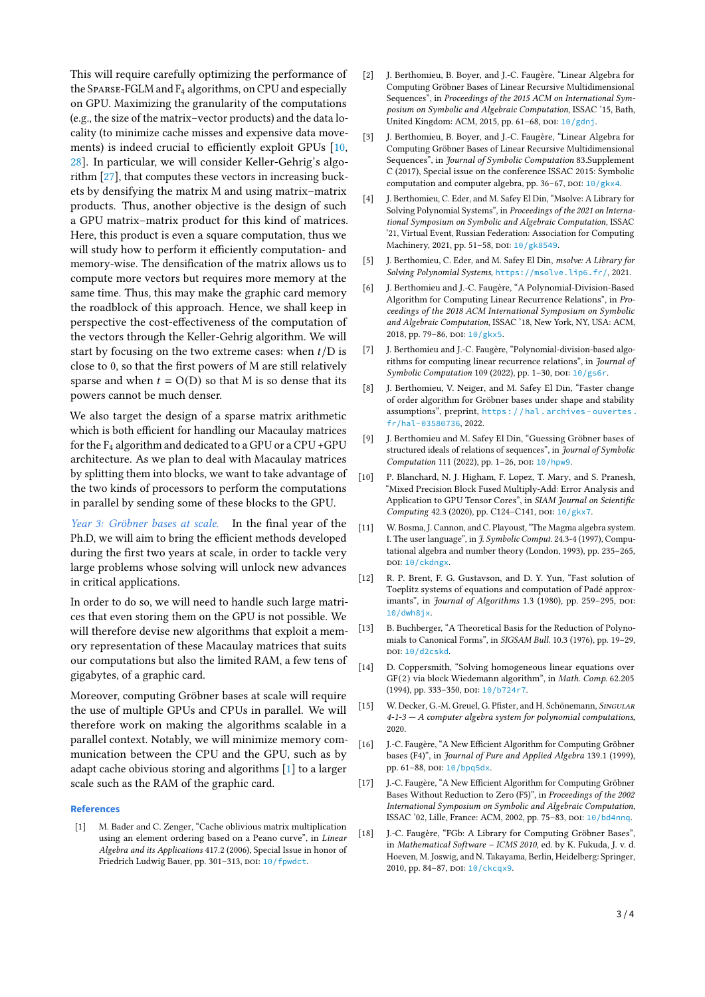This will require carefully optimizing the performance of the Sparse-FGLM and  $F_4$  algorithms, on CPU and especially on GPU. Maximizing the granularity of the computations (e.g., the size of the matrix–vector products) and the data locality (to minimize cache misses and expensive data movements) is indeed crucial to efficiently exploit GPUs [\[10,](#page-2-14) [28\]](#page-3-11). In particular, we will consider Keller-Gehrig's algorithm [\[27\]](#page-3-12), that computes these vectors in increasing buckets by densifying the matrix M and using matrix–matrix products. Thus, another objective is the design of such a GPU matrix–matrix product for this kind of matrices. Here, this product is even a square computation, thus we will study how to perform it efficiently computation- and memory-wise. The densification of the matrix allows us to compute more vectors but requires more memory at the same time. Thus, this may make the graphic card memory the roadblock of this approach. Hence, we shall keep in perspective the cost-effectiveness of the computation of the vectors through the Keller-Gehrig algorithm. We will start by focusing on the two extreme cases: when  $t/D$  is close to 0, so that the first powers of M are still relatively sparse and when  $t = O(D)$  so that M is so dense that its powers cannot be much denser.

We also target the design of a sparse matrix arithmetic which is both efficient for handling our Macaulay matrices for the F<sup>4</sup> algorithm and dedicated to a GPU or a CPU +GPU architecture. As we plan to deal with Macaulay matrices by splitting them into blocks, we want to take advantage of the two kinds of processors to perform the computations in parallel by sending some of these blocks to the GPU.

Year 3: Gröbner bases at scale. In the final year of the Ph.D, we will aim to bring the efficient methods developed during the first two years at scale, in order to tackle very large problems whose solving will unlock new advances in critical applications.

In order to do so, we will need to handle such large matrices that even storing them on the GPU is not possible. We will therefore devise new algorithms that exploit a memory representation of these Macaulay matrices that suits our computations but also the limited RAM, a few tens of gigabytes, of a graphic card.

Moreover, computing Gröbner bases at scale will require the use of multiple GPUs and CPUs in parallel. We will therefore work on making the algorithms scalable in a parallel context. Notably, we will minimize memory communication between the CPU and the GPU, such as by adapt cache obivious storing and algorithms [\[1\]](#page-2-15) to a larger scale such as the RAM of the graphic card.

# **References**

<span id="page-2-15"></span>M. Bader and C. Zenger, "Cache oblivious matrix multiplication using an element ordering based on a Peano curve", in Linear Algebra and its Applications 417.2 (2006), Special Issue in honor of Friedrich Ludwig Bauer, pp. 301-313, DOI: [10/fpwdct](https://doi.org/10/fpwdct).

- <span id="page-2-3"></span>[2] J. Berthomieu, B. Boyer, and J.-C. Faugère, "Linear Algebra for Computing Gröbner Bases of Linear Recursive Multidimensional Sequences", in Proceedings of the 2015 ACM on International Symposium on Symbolic and Algebraic Computation, ISSAC '15, Bath, United Kingdom: ACM, 2015, pp. 61-68, DOI: [10/gdnj](https://doi.org/10/gdnj).
- <span id="page-2-4"></span>[3] J. Berthomieu, B. Boyer, and J.-C. Faugère, "Linear Algebra for Computing Gröbner Bases of Linear Recursive Multidimensional Sequences", in Journal of Symbolic Computation 83.Supplement C (2017), Special issue on the conference ISSAC 2015: Symbolic computation and computer algebra, pp. 36-67, DOI: [10/gkx4](https://doi.org/10/gkx4).
- <span id="page-2-10"></span>[4] J. Berthomieu, C. Eder, and M. Safey El Din, "Msolve: A Library for Solving Polynomial Systems", in Proceedings of the 2021 on International Symposium on Symbolic and Algebraic Computation, ISSAC '21, Virtual Event, Russian Federation: Association for Computing Machinery, 2021, pp. 51-58, DOI: [10/gk8549](https://doi.org/10/gk8549).
- <span id="page-2-11"></span>[5] J. Berthomieu, C. Eder, and M. Safey El Din, msolve: A Library for Solving Polynomial Systems, <https://msolve.lip6.fr/>, 2021.
- <span id="page-2-5"></span>[6] J. Berthomieu and J.-C. Faugère, "A Polynomial-Division-Based Algorithm for Computing Linear Recurrence Relations", in Proceedings of the 2018 ACM International Symposium on Symbolic and Algebraic Computation, ISSAC '18, New York, NY, USA: ACM, 2018, pp. 79-86, DOI: [10/gkx5](https://doi.org/10/gkx5).
- [7] J. Berthomieu and J.-C. Faugère, "Polynomial-division-based algorithms for computing linear recurrence relations", in Journal of Symbolic Computation 109 (2022), pp. 1-30, poi:  $10/g$ s6r.
- [8] J. Berthomieu, V. Neiger, and M. Safey El Din, "Faster change of order algorithm for Gröbner bases under shape and stability assumptions", preprint, [https : / / hal . archives - ouvertes .](https://hal.archives-ouvertes.fr/hal-03580736) [fr/hal-03580736](https://hal.archives-ouvertes.fr/hal-03580736), 2022.
- <span id="page-2-6"></span>[9] J. Berthomieu and M. Safey El Din, "Guessing Gröbner bases of structured ideals of relations of sequences", in Journal of Symbolic Computation 111 (2022), pp. 1-26, DOI: [10/hpw9](https://doi.org/10/hpw9).
- <span id="page-2-14"></span>[10] P. Blanchard, N. J. Higham, F. Lopez, T. Mary, and S. Pranesh, "Mixed Precision Block Fused Multiply-Add: Error Analysis and Application to GPU Tensor Cores", in SIAM Journal on Scientific Computing 42.3 (2020), pp. C124-C141, DOI: [10/gkx7](https://doi.org/10/gkx7).
- <span id="page-2-9"></span>[11] W. Bosma, J. Cannon, and C. Playoust, "The Magma algebra system. I. The user language", in J. Symbolic Comput. 24.3-4 (1997), Computational algebra and number theory (London, 1993), pp. 235–265, DOI: [10/ckdngx](https://doi.org/10/ckdngx).
- <span id="page-2-7"></span>[12] R. P. Brent, F. G. Gustavson, and D. Y. Yun, "Fast solution of Toeplitz systems of equations and computation of Padé approximants", in Journal of Algorithms 1.3 (1980), pp. 259-295, DOI: [10/dwh8jx](https://doi.org/10/dwh8jx).
- <span id="page-2-0"></span>[13] B. Buchberger, "A Theoretical Basis for the Reduction of Polynomials to Canonical Forms", in SIGSAM Bull. 10.3 (1976), pp. 19–29, doi: [10/d2cskd](https://doi.org/10/d2cskd).
- <span id="page-2-13"></span>[14] D. Coppersmith, "Solving homogeneous linear equations over GF(2) via block Wiedemann algorithm", in Math. Comp. 62.205 (1994), pp. 333-350, DOI: [10/b724r7](https://doi.org/10/b724r7).
- <span id="page-2-12"></span>[15] W. Decker, G.-M. Greuel, G. Pfister, and H. Schönemann, SINGULAR 4-1-3 — A computer algebra system for polynomial computations, 2020.
- <span id="page-2-1"></span>[16] J.-C. Faugère, "A New Efficient Algorithm for Computing Gröbner bases (F4)", in Journal of Pure and Applied Algebra 139.1 (1999), pp. 61-88, poi: [10/bpq5dx](https://doi.org/10/bpq5dx).
- <span id="page-2-2"></span>[17] J.-C. Faugère, "A New Efficient Algorithm for Computing Gröbner Bases Without Reduction to Zero (F5)", in Proceedings of the 2002 International Symposium on Symbolic and Algebraic Computation, ISSAC '02, Lille, France: ACM, 2002, pp. 75-83, DOI: [10/bd4nnq](https://doi.org/10/bd4nnq).
- <span id="page-2-8"></span>[18] J.-C. Faugère, "FGb: A Library for Computing Gröbner Bases", in Mathematical Software – ICMS 2010, ed. by K. Fukuda, J. v. d. Hoeven, M. Joswig, and N. Takayama, Berlin, Heidelberg: Springer, 2010, pp. 84-87, poi: [10/ckcqx9](https://doi.org/10/ckcqx9).